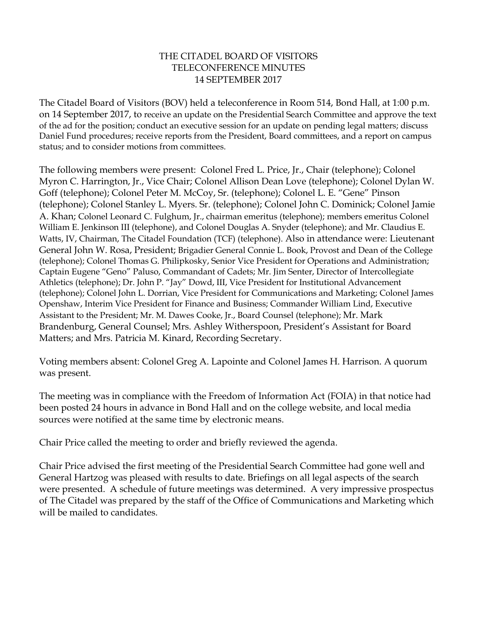## THE CITADEL BOARD OF VISITORS TELECONFERENCE MINUTES 14 SEPTEMBER 2017

The Citadel Board of Visitors (BOV) held a teleconference in Room 514, Bond Hall, at 1:00 p.m. on 14 September 2017, to receive an update on the Presidential Search Committee and approve the text of the ad for the position; conduct an executive session for an update on pending legal matters; discuss Daniel Fund procedures; receive reports from the President, Board committees, and a report on campus status; and to consider motions from committees.

The following members were present: Colonel Fred L. Price, Jr., Chair (telephone); Colonel Myron C. Harrington, Jr., Vice Chair; Colonel Allison Dean Love (telephone); Colonel Dylan W. Goff (telephone); Colonel Peter M. McCoy, Sr. (telephone); Colonel L. E. "Gene" Pinson (telephone); Colonel Stanley L. Myers. Sr. (telephone); Colonel John C. Dominick; Colonel Jamie A. Khan; Colonel Leonard C. Fulghum, Jr., chairman emeritus (telephone); members emeritus Colonel William E. Jenkinson III (telephone), and Colonel Douglas A. Snyder (telephone); and Mr. Claudius E. Watts, IV, Chairman, The Citadel Foundation (TCF) (telephone). Also in attendance were: Lieutenant General John W. Rosa, President; Brigadier General Connie L. Book, Provost and Dean of the College (telephone); Colonel Thomas G. Philipkosky, Senior Vice President for Operations and Administration; Captain Eugene "Geno" Paluso, Commandant of Cadets; Mr. Jim Senter, Director of Intercollegiate Athletics (telephone); Dr. John P. "Jay" Dowd, III, Vice President for Institutional Advancement (telephone); Colonel John L. Dorrian, Vice President for Communications and Marketing; Colonel James Openshaw, Interim Vice President for Finance and Business; Commander William Lind, Executive Assistant to the President; Mr. M. Dawes Cooke, Jr., Board Counsel (telephone); Mr. Mark Brandenburg, General Counsel; Mrs. Ashley Witherspoon, President's Assistant for Board Matters; and Mrs. Patricia M. Kinard, Recording Secretary.

Voting members absent: Colonel Greg A. Lapointe and Colonel James H. Harrison. A quorum was present.

The meeting was in compliance with the Freedom of Information Act (FOIA) in that notice had been posted 24 hours in advance in Bond Hall and on the college website, and local media sources were notified at the same time by electronic means.

Chair Price called the meeting to order and briefly reviewed the agenda.

Chair Price advised the first meeting of the Presidential Search Committee had gone well and General Hartzog was pleased with results to date. Briefings on all legal aspects of the search were presented. A schedule of future meetings was determined. A very impressive prospectus of The Citadel was prepared by the staff of the Office of Communications and Marketing which will be mailed to candidates.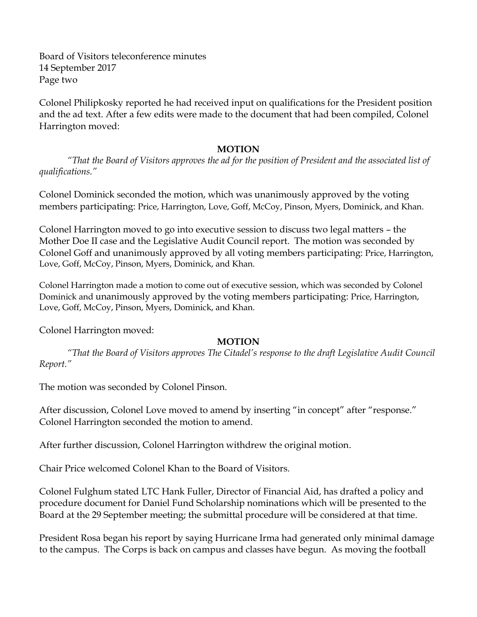Board of Visitors teleconference minutes 14 September 2017 Page two

Colonel Philipkosky reported he had received input on qualifications for the President position and the ad text. After a few edits were made to the document that had been compiled, Colonel Harrington moved:

## **MOTION**

*"That the Board of Visitors approves the ad for the position of President and the associated list of qualifications."*

Colonel Dominick seconded the motion, which was unanimously approved by the voting members participating: Price, Harrington, Love, Goff, McCoy, Pinson, Myers, Dominick, and Khan.

Colonel Harrington moved to go into executive session to discuss two legal matters – the Mother Doe II case and the Legislative Audit Council report. The motion was seconded by Colonel Goff and unanimously approved by all voting members participating: Price, Harrington, Love, Goff, McCoy, Pinson, Myers, Dominick, and Khan.

Colonel Harrington made a motion to come out of executive session, which was seconded by Colonel Dominick and unanimously approved by the voting members participating: Price, Harrington, Love, Goff, McCoy, Pinson, Myers, Dominick, and Khan.

Colonel Harrington moved:

## **MOTION**

*"That the Board of Visitors approves The Citadel's response to the draft Legislative Audit Council Report."*

The motion was seconded by Colonel Pinson.

After discussion, Colonel Love moved to amend by inserting "in concept" after "response." Colonel Harrington seconded the motion to amend.

After further discussion, Colonel Harrington withdrew the original motion.

Chair Price welcomed Colonel Khan to the Board of Visitors.

Colonel Fulghum stated LTC Hank Fuller, Director of Financial Aid, has drafted a policy and procedure document for Daniel Fund Scholarship nominations which will be presented to the Board at the 29 September meeting; the submittal procedure will be considered at that time.

President Rosa began his report by saying Hurricane Irma had generated only minimal damage to the campus. The Corps is back on campus and classes have begun. As moving the football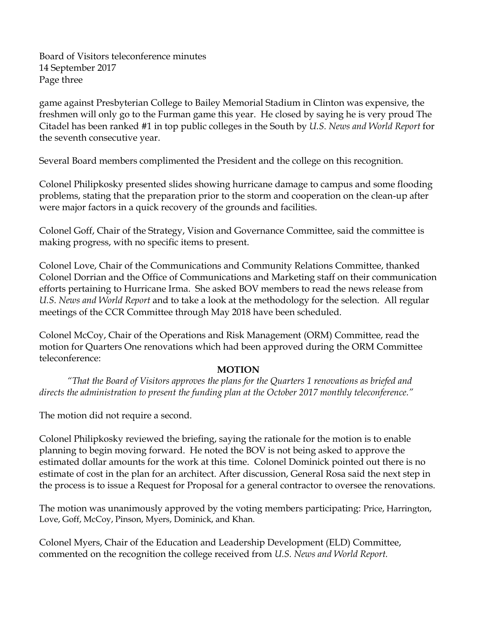Board of Visitors teleconference minutes 14 September 2017 Page three

game against Presbyterian College to Bailey Memorial Stadium in Clinton was expensive, the freshmen will only go to the Furman game this year. He closed by saying he is very proud The Citadel has been ranked #1 in top public colleges in the South by *U.S. News and World Report* for the seventh consecutive year.

Several Board members complimented the President and the college on this recognition.

Colonel Philipkosky presented slides showing hurricane damage to campus and some flooding problems, stating that the preparation prior to the storm and cooperation on the clean-up after were major factors in a quick recovery of the grounds and facilities.

Colonel Goff, Chair of the Strategy, Vision and Governance Committee, said the committee is making progress, with no specific items to present.

Colonel Love, Chair of the Communications and Community Relations Committee, thanked Colonel Dorrian and the Office of Communications and Marketing staff on their communication efforts pertaining to Hurricane Irma. She asked BOV members to read the news release from *U.S. News and World Report* and to take a look at the methodology for the selection. All regular meetings of the CCR Committee through May 2018 have been scheduled.

Colonel McCoy, Chair of the Operations and Risk Management (ORM) Committee, read the motion for Quarters One renovations which had been approved during the ORM Committee teleconference:

## **MOTION**

*"That the Board of Visitors approves the plans for the Quarters 1 renovations as briefed and directs the administration to present the funding plan at the October 2017 monthly teleconference."*

The motion did not require a second.

Colonel Philipkosky reviewed the briefing, saying the rationale for the motion is to enable planning to begin moving forward. He noted the BOV is not being asked to approve the estimated dollar amounts for the work at this time. Colonel Dominick pointed out there is no estimate of cost in the plan for an architect. After discussion, General Rosa said the next step in the process is to issue a Request for Proposal for a general contractor to oversee the renovations.

The motion was unanimously approved by the voting members participating: Price, Harrington, Love, Goff, McCoy, Pinson, Myers, Dominick, and Khan.

Colonel Myers, Chair of the Education and Leadership Development (ELD) Committee, commented on the recognition the college received from *U.S. News and World Report.*